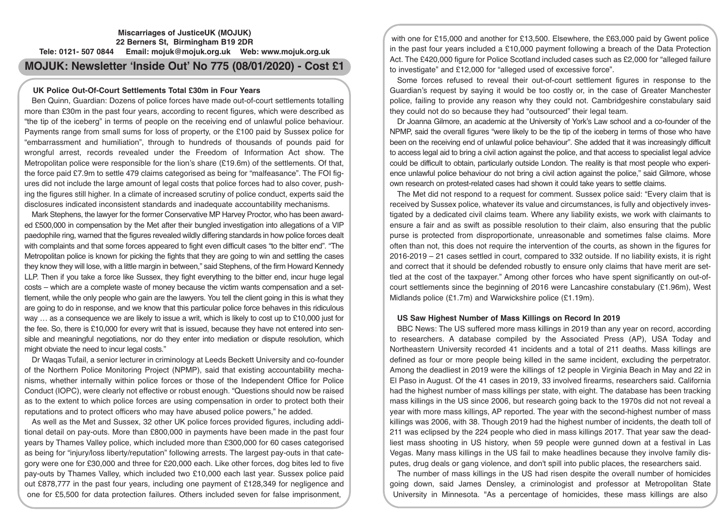# **Miscarriages of JusticeUK (MOJUK) 22 Berners St, Birmingham B19 2DR Tele: 0121- 507 0844 Email: mojuk@mojuk.org.uk Web: www.mojuk.org.uk**

# **MOJUK: Newsletter 'Inside Out' No 775 (08/01/2020) - Cost £1**

# **UK Police Out-Of-Court Settlements Total £30m in Four Years**

Ben Quinn, Guardian: Dozens of police forces have made out-of-court settlements totalling more than £30m in the past four years, according to recent figures, which were described as "the tip of the iceberg" in terms of people on the receiving end of unlawful police behaviour. Payments range from small sums for loss of property, or the £100 paid by Sussex police for "embarrassment and humiliation", through to hundreds of thousands of pounds paid for wrongful arrest, records revealed under the Freedom of Information Act show. The Metropolitan police were responsible for the lion's share (£19.6m) of the settlements. Of that, the force paid £7.9m to settle 479 claims categorised as being for "malfeasance". The FOI figures did not include the large amount of legal costs that police forces had to also cover, pushing the figures still higher. In a climate of increased scrutiny of police conduct, experts said the disclosures indicated inconsistent standards and inadequate accountability mechanisms.

Mark Stephens, the lawyer for the former Conservative MP Harvey Proctor, who has been awarded £500,000 in compensation by the Met after their bungled investigation into allegations of a VIP paedophile ring, warned that the figures revealed wildly differing standards in how police forces dealt with complaints and that some forces appeared to fight even difficult cases "to the bitter end". "The Metropolitan police is known for picking the fights that they are going to win and settling the cases they know they will lose, with a little margin in between," said Stephens, of the firm Howard Kennedy LLP. Then if you take a force like Sussex, they fight everything to the bitter end, incur huge legal costs – which are a complete waste of money because the victim wants compensation and a settlement, while the only people who gain are the lawyers. You tell the client going in this is what they are going to do in response, and we know that this particular police force behaves in this ridiculous way … as a consequence we are likely to issue a writ, which is likely to cost up to £10,000 just for the fee. So, there is £10,000 for every writ that is issued, because they have not entered into sensible and meaningful negotiations, nor do they enter into mediation or dispute resolution, which might obviate the need to incur legal costs."

Dr Waqas Tufail, a senior lecturer in criminology at Leeds Beckett University and co-founder of the Northern Police Monitoring Project (NPMP), said that existing accountability mechanisms, whether internally within police forces or those of the Independent Office for Police Conduct (IOPC), were clearly not effective or robust enough. "Questions should now be raised as to the extent to which police forces are using compensation in order to protect both their reputations and to protect officers who may have abused police powers," he added.

As well as the Met and Sussex, 32 other UK police forces provided figures, including additional detail on pay-outs. More than £800,000 in payments have been made in the past four years by Thames Valley police, which included more than £300,000 for 60 cases categorised as being for "injury/loss liberty/reputation" following arrests. The largest pay-outs in that category were one for £30,000 and three for £20,000 each. Like other forces, dog bites led to five pay-outs by Thames Valley, which included two £10,000 each last year. Sussex police paid out £878,777 in the past four years, including one payment of £128,349 for negligence and one for £5,500 for data protection failures. Others included seven for false imprisonment,

with one for £15,000 and another for £13,500. Elsewhere, the £63,000 paid by Gwent police in the past four years included a £10,000 payment following a breach of the Data Protection Act. The £420,000 figure for Police Scotland included cases such as £2,000 for "alleged failure to investigate" and £12,000 for "alleged used of excessive force".

Some forces refused to reveal their out-of-court settlement figures in response to the Guardian's request by saying it would be too costly or, in the case of Greater Manchester police, failing to provide any reason why they could not. Cambridgeshire constabulary said they could not do so because they had "outsourced" their legal team.

Dr Joanna Gilmore, an academic at the University of York's Law school and a co-founder of the NPMP, said the overall figures "were likely to be the tip of the iceberg in terms of those who have been on the receiving end of unlawful police behaviour". She added that it was increasingly difficult to access legal aid to bring a civil action against the police, and that access to specialist legal advice could be difficult to obtain, particularly outside London. The reality is that most people who experience unlawful police behaviour do not bring a civil action against the police," said Gilmore, whose own research on protest-related cases had shown it could take years to settle claims.

The Met did not respond to a request for comment. Sussex police said: "Every claim that is received by Sussex police, whatever its value and circumstances, is fully and objectively investigated by a dedicated civil claims team. Where any liability exists, we work with claimants to ensure a fair and as swift as possible resolution to their claim, also ensuring that the public purse is protected from disproportionate, unreasonable and sometimes false claims. More often than not, this does not require the intervention of the courts, as shown in the figures for 2016-2019 – 21 cases settled in court, compared to 332 outside. If no liability exists, it is right and correct that it should be defended robustly to ensure only claims that have merit are settled at the cost of the taxpayer." Among other forces who have spent significantly on out-ofcourt settlements since the beginning of 2016 were Lancashire constabulary (£1.96m), West Midlands police (£1.7m) and Warwickshire police (£1.19m).

## **US Saw Highest Number of Mass Killings on Record In 2019**

BBC News: The US suffered more mass killings in 2019 than any year on record, according to researchers. A database compiled by the Associated Press (AP), USA Today and Northeastern University recorded 41 incidents and a total of 211 deaths. Mass killings are defined as four or more people being killed in the same incident, excluding the perpetrator. Among the deadliest in 2019 were the killings of 12 people in Virginia Beach in May and 22 in El Paso in August. Of the 41 cases in 2019, 33 involved firearms, researchers said. California had the highest number of mass killings per state, with eight. The database has been tracking mass killings in the US since 2006, but research going back to the 1970s did not not reveal a year with more mass killings, AP reported. The year with the second-highest number of mass killings was 2006, with 38. Though 2019 had the highest number of incidents, the death toll of 211 was eclipsed by the 224 people who died in mass killings 2017. That year saw the deadliest mass shooting in US history, when 59 people were gunned down at a festival in Las Vegas. Many mass killings in the US fail to make headlines because they involve family disputes, drug deals or gang violence, and don't spill into public places, the researchers said.

The number of mass killings in the US had risen despite the overall number of homicides going down, said James Densley, a criminologist and professor at Metropolitan State University in Minnesota. "As a percentage of homicides, these mass killings are also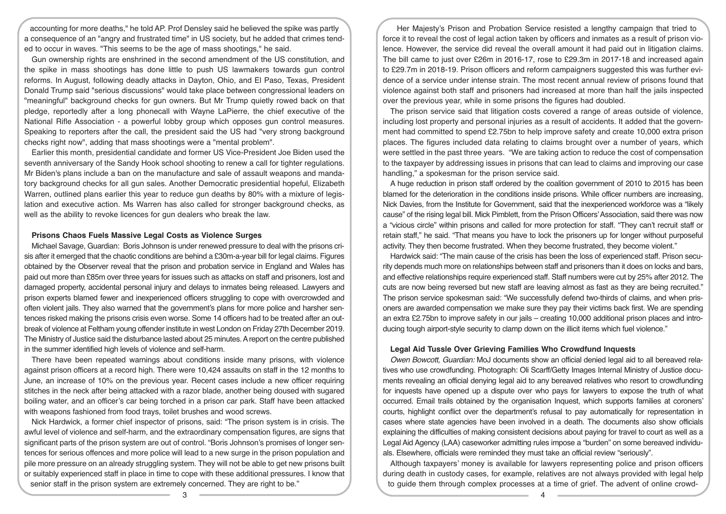accounting for more deaths," he told AP. Prof Densley said he believed the spike was partly a consequence of an "angry and frustrated time" in US society, but he added that crimes tended to occur in waves. "This seems to be the age of mass shootings," he said.

Gun ownership rights are enshrined in the second amendment of the US constitution, and the spike in mass shootings has done little to push US lawmakers towards gun control reforms. In August, following deadly attacks in Dayton, Ohio, and El Paso, Texas, President Donald Trump said "serious discussions" would take place between congressional leaders on "meaningful" background checks for gun owners. But Mr Trump quietly rowed back on that pledge, reportedly after a long phonecall with Wayne LaPierre, the chief executive of the National Rifle Association - a powerful lobby group which opposes gun control measures. Speaking to reporters after the call, the president said the US had "very strong background checks right now", adding that mass shootings were a "mental problem".

Earlier this month, presidential candidate and former US Vice-President Joe Biden used the seventh anniversary of the Sandy Hook school shooting to renew a call for tighter regulations. Mr Biden's plans include a ban on the manufacture and sale of assault weapons and mandatory background checks for all gun sales. Another Democratic presidential hopeful, Elizabeth Warren, outlined plans earlier this year to reduce gun deaths by 80% with a mixture of legislation and executive action. Ms Warren has also called for stronger background checks, as well as the ability to revoke licences for gun dealers who break the law.

## **Prisons Chaos Fuels Massive Legal Costs as Violence Surges**

Michael Savage, Guardian: Boris Johnson is under renewed pressure to deal with the prisons crisis after it emerged that the chaotic conditions are behind a £30m-a-year bill for legal claims. Figures obtained by the Observer reveal that the prison and probation service in England and Wales has paid out more than £85m over three years for issues such as attacks on staff and prisoners, lost and damaged property, accidental personal injury and delays to inmates being released. Lawyers and prison experts blamed fewer and inexperienced officers struggling to cope with overcrowded and often violent jails. They also warned that the government's plans for more police and harsher sentences risked making the prisons crisis even worse. Some 14 officers had to be treated after an outbreak of violence at Feltham young offender institute in west London on Friday 27th December 2019. The Ministry of Justice said the disturbance lasted about 25 minutes. A report on the centre published in the summer identified high levels of violence and self-harm.

There have been repeated warnings about conditions inside many prisons, with violence against prison officers at a record high. There were 10,424 assaults on staff in the 12 months to June, an increase of 10% on the previous year. Recent cases include a new officer requiring stitches in the neck after being attacked with a razor blade, another being doused with sugared boiling water, and an officer's car being torched in a prison car park. Staff have been attacked with weapons fashioned from food trays, toilet brushes and wood screws.

Nick Hardwick, a former chief inspector of prisons, said: "The prison system is in crisis. The awful level of violence and self-harm, and the extraordinary compensation figures, are signs that significant parts of the prison system are out of control. "Boris Johnson's promises of longer sentences for serious offences and more police will lead to a new surge in the prison population and pile more pressure on an already struggling system. They will not be able to get new prisons built or suitably experienced staff in place in time to cope with these additional pressures. I know that senior staff in the prison system are extremely concerned. They are right to be."

Her Majesty's Prison and Probation Service resisted a lengthy campaign that tried to force it to reveal the cost of legal action taken by officers and inmates as a result of prison violence. However, the service did reveal the overall amount it had paid out in litigation claims. The bill came to just over £26m in 2016-17, rose to £29.3m in 2017-18 and increased again to £29.7m in 2018-19. Prison officers and reform campaigners suggested this was further evidence of a service under intense strain. The most recent annual review of prisons found that violence against both staff and prisoners had increased at more than half the jails inspected over the previous year, while in some prisons the figures had doubled.

The prison service said that litigation costs covered a range of areas outside of violence, including lost property and personal injuries as a result of accidents. It added that the government had committed to spend £2.75bn to help improve safety and create 10,000 extra prison places. The figures included data relating to claims brought over a number of years, which were settled in the past three years. "We are taking action to reduce the cost of compensation to the taxpayer by addressing issues in prisons that can lead to claims and improving our case handling," a spokesman for the prison service said.

A huge reduction in prison staff ordered by the coalition government of 2010 to 2015 has been blamed for the deterioration in the conditions inside prisons. While officer numbers are increasing, Nick Davies, from the Institute for Government, said that the inexperienced workforce was a "likely cause" of the rising legal bill. Mick Pimblett, from the Prison Officers' Association, said there was now a "vicious circle" within prisons and called for more protection for staff. "They can't recruit staff or retain staff," he said. "That means you have to lock the prisoners up for longer without purposeful activity. They then become frustrated. When they become frustrated, they become violent."

Hardwick said: "The main cause of the crisis has been the loss of experienced staff. Prison security depends much more on relationships between staff and prisoners than it does on locks and bars, and effective relationships require experienced staff. Staff numbers were cut by 25% after 2012. The cuts are now being reversed but new staff are leaving almost as fast as they are being recruited." The prison service spokesman said: "We successfully defend two-thirds of claims, and when prisoners are awarded compensation we make sure they pay their victims back first. We are spending an extra £2.75bn to improve safety in our jails – creating 10,000 additional prison places and introducing tough airport-style security to clamp down on the illicit items which fuel violence."

#### **Legal Aid Tussle Over Grieving Families Who Crowdfund Inquests**

Owen Bowcott, Guardian: MoJ documents show an official denied legal aid to all bereaved relatives who use crowdfunding. Photograph: Oli Scarff/Getty Images Internal Ministry of Justice documents revealing an official denying legal aid to any bereaved relatives who resort to crowdfunding for inquests have opened up a dispute over who pays for lawyers to expose the truth of what occurred. Email trails obtained by the organisation Inquest, which supports families at coroners' courts, highlight conflict over the department's refusal to pay automatically for representation in cases where state agencies have been involved in a death. The documents also show officials explaining the difficulties of making consistent decisions about paying for travel to court as well as a Legal Aid Agency (LAA) caseworker admitting rules impose a "burden" on some bereaved individuals. Elsewhere, officials were reminded they must take an official review "seriously".

Although taxpayers' money is available for lawyers representing police and prison officers during death in custody cases, for example, relatives are not always provided with legal help to guide them through complex processes at a time of grief. The advent of online crowd-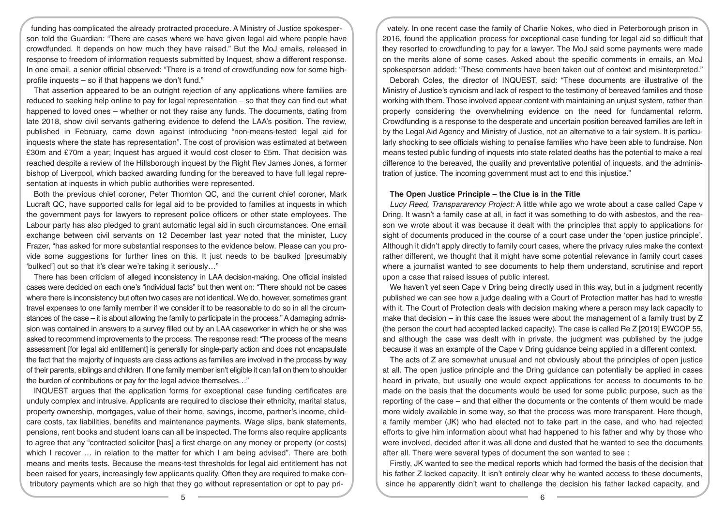funding has complicated the already protracted procedure. A Ministry of Justice spokesperson told the Guardian: "There are cases where we have given legal aid where people have crowdfunded. It depends on how much they have raised." But the MoJ emails, released in response to freedom of information requests submitted by Inquest, show a different response. In one email, a senior official observed: "There is a trend of crowdfunding now for some highprofile inquests – so if that happens we don't fund."

That assertion appeared to be an outright rejection of any applications where families are reduced to seeking help online to pay for legal representation – so that they can find out what happened to loved ones – whether or not they raise any funds. The documents, dating from late 2018, show civil servants gathering evidence to defend the LAA's position. The review, published in February, came down against introducing "non-means-tested legal aid for inquests where the state has representation". The cost of provision was estimated at between £30m and £70m a year; Inquest has argued it would cost closer to £5m. That decision was reached despite a review of the Hillsborough inquest by the Right Rev James Jones, a former bishop of Liverpool, which backed awarding funding for the bereaved to have full legal representation at inquests in which public authorities were represented.

Both the previous chief coroner, Peter Thornton QC, and the current chief coroner, Mark Lucraft QC, have supported calls for legal aid to be provided to families at inquests in which the government pays for lawyers to represent police officers or other state employees. The Labour party has also pledged to grant automatic legal aid in such circumstances. One email exchange between civil servants on 12 December last year noted that the minister, Lucy Frazer, "has asked for more substantial responses to the evidence below. Please can you provide some suggestions for further lines on this. It just needs to be baulked [presumably 'bulked'] out so that it's clear we're taking it seriously…"

There has been criticism of alleged inconsistency in LAA decision-making. One official insisted cases were decided on each one's "individual facts" but then went on: "There should not be cases where there is inconsistency but often two cases are not identical. We do, however, sometimes grant travel expenses to one family member if we consider it to be reasonable to do so in all the circumstances of the case – it is about allowing the family to participate in the process." A damaging admission was contained in answers to a survey filled out by an LAA caseworker in which he or she was asked to recommend improvements to the process. The response read: "The process of the means assessment [for legal aid entitlement] is generally for single-party action and does not encapsulate the fact that the majority of inquests are class actions as families are involved in the process by way of their parents, siblings and children. If one family member isn't eligible it can fall on them to shoulder the burden of contributions or pay for the legal advice themselves…"

INQUEST argues that the application forms for exceptional case funding certificates are unduly complex and intrusive. Applicants are required to disclose their ethnicity, marital status, property ownership, mortgages, value of their home, savings, income, partner's income, childcare costs, tax liabilities, benefits and maintenance payments. Wage slips, bank statements, pensions, rent books and student loans can all be inspected. The forms also require applicants to agree that any "contracted solicitor [has] a first charge on any money or property (or costs) which I recover … in relation to the matter for which I am being advised". There are both means and merits tests. Because the means-test thresholds for legal aid entitlement has not been raised for years, increasingly few applicants qualify. Often they are required to make contributory payments which are so high that they go without representation or opt to pay pri-

vately. In one recent case the family of Charlie Nokes, who died in Peterborough prison in 2016, found the application process for exceptional case funding for legal aid so difficult that they resorted to crowdfunding to pay for a lawyer. The MoJ said some payments were made on the merits alone of some cases. Asked about the specific comments in emails, an MoJ spokesperson added: "These comments have been taken out of context and misinterpreted."

Deborah Coles, the director of INQUEST, said: "These documents are illustrative of the Ministry of Justice's cynicism and lack of respect to the testimony of bereaved families and those working with them. Those involved appear content with maintaining an unjust system, rather than properly considering the overwhelming evidence on the need for fundamental reform. Crowdfunding is a response to the desperate and uncertain position bereaved families are left in by the Legal Aid Agency and Ministry of Justice, not an alternative to a fair system. It is particularly shocking to see officials wishing to penalise families who have been able to fundraise. Non means tested public funding of inquests into state related deaths has the potential to make a real difference to the bereaved, the quality and preventative potential of inquests, and the administration of justice. The incoming government must act to end this injustice."

## **The Open Justice Principle – the Clue is in the Title**

Lucy Reed, Transpararency Project: A little while ago we wrote about a case called Cape v Dring. It wasn't a family case at all, in fact it was something to do with asbestos, and the reason we wrote about it was because it dealt with the principles that apply to applications for sight of documents produced in the course of a court case under the 'open justice principle'. Although it didn't apply directly to family court cases, where the privacy rules make the context rather different, we thought that it might have some potential relevance in family court cases where a journalist wanted to see documents to help them understand, scrutinise and report upon a case that raised issues of public interest.

We haven't yet seen Cape v Dring being directly used in this way, but in a judgment recently published we can see how a judge dealing with a Court of Protection matter has had to wrestle with it. The Court of Protection deals with decision making where a person may lack capacity to make that decision – in this case the issues were about the management of a family trust by  $Z$ (the person the court had accepted lacked capacity). The case is called Re Z [2019] EWCOP 55, and although the case was dealt with in private, the judgment was published by the judge because it was an example of the Cape v Dring guidance being applied in a different context.

The acts of Z are somewhat unusual and not obviously about the principles of open justice at all. The open justice principle and the Dring guidance can potentially be applied in cases heard in private, but usually one would expect applications for access to documents to be made on the basis that the documents would be used for some public purpose, such as the reporting of the case – and that either the documents or the contents of them would be made more widely available in some way, so that the process was more transparent. Here though, a family member (JK) who had elected not to take part in the case, and who had rejected efforts to give him information about what had happened to his father and why by those who were involved, decided after it was all done and dusted that he wanted to see the documents after all. There were several types of document the son wanted to see :

Firstly, JK wanted to see the medical reports which had formed the basis of the decision that his father Z lacked capacity. It isn't entirely clear why he wanted access to these documents, since he apparently didn't want to challenge the decision his father lacked capacity, and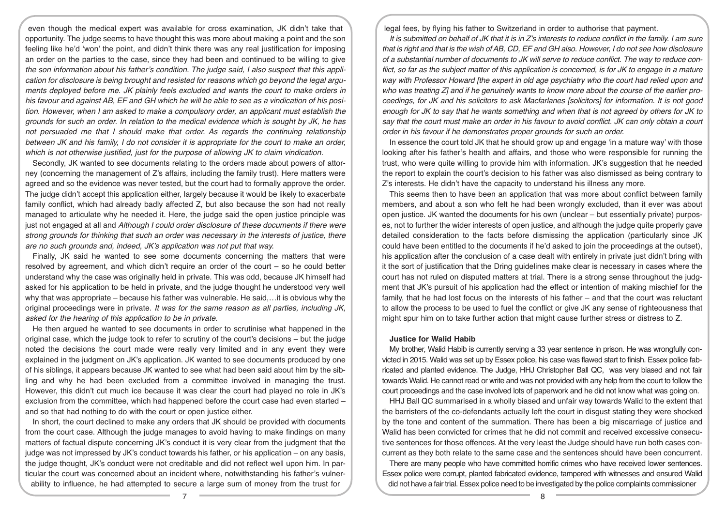even though the medical expert was available for cross examination, JK didn't take that opportunity. The judge seems to have thought this was more about making a point and the son feeling like he'd 'won' the point, and didn't think there was any real justification for imposing an order on the parties to the case, since they had been and continued to be willing to give the son information about his father's condition. The judge said, I also suspect that this application for disclosure is being brought and resisted for reasons which go beyond the legal arguments deployed before me. JK plainly feels excluded and wants the court to make orders in his favour and against AB, EF and GH which he will be able to see as a vindication of his position. However, when I am asked to make a compulsory order, an applicant must establish the grounds for such an order. In relation to the medical evidence which is sought by JK, he has not persuaded me that I should make that order. As regards the continuing relationship between JK and his family, I do not consider it is appropriate for the court to make an order, which is not otherwise justified, just for the purpose of allowing JK to claim vindication.

Secondly, JK wanted to see documents relating to the orders made about powers of attorney (concerning the management of Z's affairs, including the family trust). Here matters were agreed and so the evidence was never tested, but the court had to formally approve the order. The judge didn't accept this application either, largely because it would be likely to exacerbate family conflict, which had already badly affected Z, but also because the son had not really managed to articulate why he needed it. Here, the judge said the open justice principle was just not engaged at all and Although I could order disclosure of these documents if there were strong grounds for thinking that such an order was necessary in the interests of justice, there are no such grounds and, indeed, JK's application was not put that way.

Finally, JK said he wanted to see some documents concerning the matters that were resolved by agreement, and which didn't require an order of the court – so he could better understand why the case was originally held in private. This was odd, because JK himself had asked for his application to be held in private, and the judge thought he understood very well why that was appropriate – because his father was vulnerable. He said,…it is obvious why the original proceedings were in private. It was for the same reason as all parties, including JK, asked for the hearing of this application to be in private.

He then argued he wanted to see documents in order to scrutinise what happened in the original case, which the judge took to refer to scrutiny of the court's decisions – but the judge noted the decisions the court made were really very limited and in any event they were explained in the judgment on JK's application. JK wanted to see documents produced by one of his siblings, it appears because JK wanted to see what had been said about him by the sibling and why he had been excluded from a committee involved in managing the trust. However, this didn't cut much ice because it was clear the court had played no role in JK's exclusion from the committee, which had happened before the court case had even started – and so that had nothing to do with the court or open justice either.

In short, the court declined to make any orders that JK should be provided with documents from the court case. Although the judge manages to avoid having to make findings on many matters of factual dispute concerning JK's conduct it is very clear from the judgment that the judge was not impressed by JK's conduct towards his father, or his application – on any basis, the judge thought, JK's conduct were not creditable and did not reflect well upon him. In particular the court was concerned about an incident where, notwithstanding his father's vulnerability to influence, he had attempted to secure a large sum of money from the trust for

legal fees, by flying his father to Switzerland in order to authorise that payment.

It is submitted on behalf of JK that it is in Z's interests to reduce conflict in the family. I am sure that is right and that is the wish of AB, CD, EF and GH also. However, I do not see how disclosure of a substantial number of documents to JK will serve to reduce conflict. The way to reduce conflict, so far as the subject matter of this application is concerned, is for JK to engage in a mature way with Professor Howard [the expert in old age psychiatry who the court had relied upon and who was treating Z] and if he genuinely wants to know more about the course of the earlier proceedings, for JK and his solicitors to ask Macfarlanes [solicitors] for information. It is not good enough for JK to say that he wants something and when that is not agreed by others for JK to say that the court must make an order in his favour to avoid conflict. JK can only obtain a court order in his favour if he demonstrates proper grounds for such an order.

In essence the court told JK that he should grow up and engage 'in a mature way' with those looking after his father's health and affairs, and those who were responsible for running the trust, who were quite willing to provide him with information. JK's suggestion that he needed the report to explain the court's decision to his father was also dismissed as being contrary to Z's interests. He didn't have the capacity to understand his illness any more.

This seems then to have been an application that was more about conflict between family members, and about a son who felt he had been wrongly excluded, than it ever was about open justice. JK wanted the documents for his own (unclear – but essentially private) purposes, not to further the wider interests of open justice, and although the judge quite properly gave detailed consideration to the facts before dismissing the application (particularly since JK could have been entitled to the documents if he'd asked to join the proceedings at the outset), his application after the conclusion of a case dealt with entirely in private just didn't bring with it the sort of justification that the Dring guidelines make clear is necessary in cases where the court has not ruled on disputed matters at trial. There is a strong sense throughout the judgment that JK's pursuit of his application had the effect or intention of making mischief for the family, that he had lost focus on the interests of his father – and that the court was reluctant to allow the process to be used to fuel the conflict or give JK any sense of righteousness that might spur him on to take further action that might cause further stress or distress to Z.

### **Justice for Walid Habib**

My brother, Walid Habib is currently serving a 33 year sentence in prison. He was wrongfully convicted in 2015. Walid was set up by Essex police, his case was flawed start to finish. Essex police fabricated and planted evidence. The Judge, HHJ Christopher Ball QC, was very biased and not fair towards Walid. He cannot read or write and was not provided with any help from the court to follow the court proceedings and the case involved lots of paperwork and he did not know what was going on.

HHJ Ball QC summarised in a wholly biased and unfair way towards Walid to the extent that the barristers of the co-defendants actually left the court in disgust stating they were shocked by the tone and content of the summation. There has been a big miscarriage of justice and Walid has been convicted for crimes that he did not commit and received excessive consecutive sentences for those offences. At the very least the Judge should have run both cases concurrent as they both relate to the same case and the sentences should have been concurrent.

There are many people who have committed horrific crimes who have received lower sentences. Essex police were corrupt, planted fabricated evidence, tampered with witnesses and ensured Walid did not have a fair trial. Essex police need to be investigated by the police complaints commissioner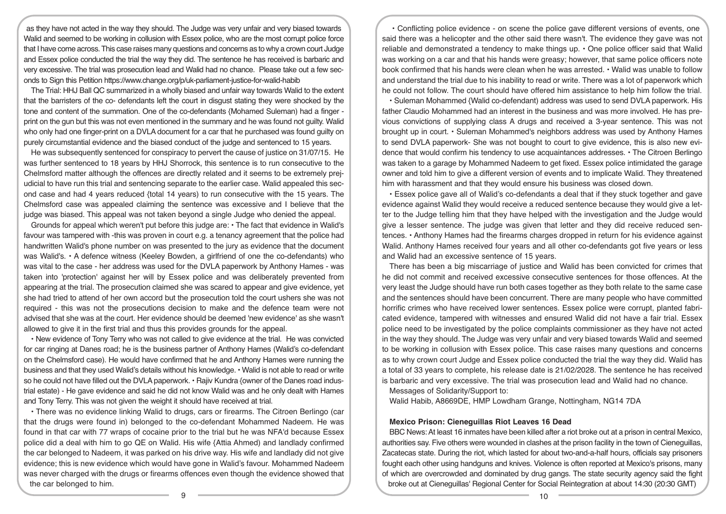as they have not acted in the way they should. The Judge was very unfair and very biased towards Walid and seemed to be working in collusion with Essex police, who are the most corrupt police force that I have come across. This case raises many questions and concerns as to why a crown court Judge and Essex police conducted the trial the way they did. The sentence he has received is barbaric and very excessive. The trial was prosecution lead and Walid had no chance. Please take out a few seconds to Sign this Petition https://www.change.org/p/uk-parliament-justice-for-walid-habib

The Trial: HHJ Ball QC summarized in a wholly biased and unfair way towards Walid to the extent that the barristers of the co-defendants left the court in disgust stating they were shocked by the tone and content of the summation. One of the co-defendants {Mohamed Suleman) had a finger print on the gun but this was not even mentioned in the summary and he was found not guilty. Walid who only had one finger-print on a DVLA document for a car that he purchased was found guilty on purely circumstantial evidence and the biased conduct of the judge and sentenced to 15 years.

He was subsequently sentenced for conspiracy to pervert the cause of justice on 31/07/15. He was further sentenced to 18 years by HHJ Shorrock, this sentence is to run consecutive to the Chelmsford matter although the offences are directly related and it seems to be extremely prejudicial to have run this trial and sentencing separate to the earlier case. Walid appealed this second case and had 4 years reduced {total 14 years) to run consecutive with the 15 years. The Chelmsford case was appealed claiming the sentence was excessive and I believe that the judge was biased. This appeal was not taken beyond a single Judge who denied the appeal.

Grounds for appeal which weren't put before this judge are: • The fact that evidence in Walid's favour was tampered with -this was proven in court e.g. a tenancy agreement that the police had handwritten Walid's phone number on was presented to the jury as evidence that the document was Walid's. • A defence witness (Keeley Bowden, a girlfriend of one the co-defendants) who was vital to the case - her address was used for the DVLA paperwork by Anthony Hames - was taken into 'protection' against her will by Essex police and was deliberately prevented from appearing at the trial. The prosecution claimed she was scared to appear and give evidence, yet she had tried to attend of her own accord but the prosecution told the court ushers she was not required - this was not the prosecutions decision to make and the defence team were not advised that she was at the court. Her evidence should be deemed 'new evidence' as she wasn't allowed to give it in the first trial and thus this provides grounds for the appeal.

• New evidence of Tony Terry who was not called to give evidence at the trial. He was convicted for car ringing at Danes road; he is the business partner of Anthony Hames (Walid's co-defendant on the Chelmsford case). He would have confirmed that he and Anthony Hames were running the business and that they used Walid's details without his knowledge. • Walid is not able to read or write so he could not have filled out the DVLA paperwork. • Rajiv Kundra {owner of the Danes road industrial estate) - He gave evidence and said he did not know Walid was and he only dealt with Hames and Tony Terry. This was not given the weight it should have received at trial.

• There was no evidence linking Walid to drugs, cars or firearms. The Citroen Berlingo (car that the drugs were found in) belonged to the co-defendant Mohammed Nadeem. He was found in that car with 77 wraps of cocaine prior to the trial but he was NFA'd because Essex police did a deal with him to go QE on Walid. His wife {Attia Ahmed) and landlady confirmed the car belonged to Nadeem, it was parked on his drive way. His wife and landlady did not give evidence; this is new evidence which would have gone in Walid's favour. Mohammed Nadeem was never charged with the drugs or firearms offences even though the evidence showed that the car belonged to him.

• Conflicting police evidence - on scene the police gave different versions of events, one said there was a helicopter and the other said there wasn't. The evidence they gave was not reliable and demonstrated a tendency to make things up. • One police officer said that Walid was working on a car and that his hands were greasy; however, that same police officers note book confirmed that his hands were clean when he was arrested. • Walid was unable to follow and understand the trial due to his inability to read or write. There was a lot of paperwork which he could not follow. The court should have offered him assistance to help him follow the trial.

• Suleman Mohammed {Walid co-defendant) address was used to send DVLA paperwork. His father Claudio Mohammed had an interest in the business and was more involved. He has previous convictions of supplying class A drugs and received a 3-year sentence. This was not brought up in court. • Suleman Mohammed's neighbors address was used by Anthony Hames to send DVLA paperwork- She was not bought to court to give evidence, this is also new evidence that would confirm his tendency to use acquaintances addresses. • The Citroen Berlingo was taken to a garage by Mohammed Nadeem to get fixed. Essex police intimidated the garage owner and told him to give a different version of events and to implicate Walid. They threatened him with harassment and that they would ensure his business was closed down.

• Essex police gave all of Walid's co-defendants a deal that if they stuck together and gave evidence against Walid they would receive a reduced sentence because they would give a letter to the Judge telling him that they have helped with the investigation and the Judge would give a lesser sentence. The judge was given that letter and they did receive reduced sentences. • Anthony Hames had the firearms charges dropped in return for his evidence against Walid. Anthony Hames received four years and all other co-defendants got five years or less and Walid had an excessive sentence of 15 years.

There has been a big miscarriage of justice and Walid has been convicted for crimes that he did not commit and received excessive consecutive sentences for those offences. At the very least the Judge should have run both cases together as they both relate to the same case and the sentences should have been concurrent. There are many people who have committed horrific crimes who have received lower sentences. Essex police were corrupt, planted fabricated evidence, tampered with witnesses and ensured Walid did not have a fair trial. Essex police need to be investigated by the police complaints commissioner as they have not acted in the way they should. The Judge was very unfair and very biased towards Walid and seemed to be working in collusion with Essex police. This case raises many questions and concerns as to why crown court Judge and Essex police conducted the trial the way they did. Walid has a total of 33 years to complete, his release date is 21/02/2028. The sentence he has received is barbaric and very excessive. The trial was prosecution lead and Walid had no chance.

Messages of Solidarity/Support to:

Walid Habib, A8669DE, HMP Lowdham Grange, Nottingham, NG14 7DA

## **Mexico Prison: Cieneguillas Riot Leaves 16 Dead**

BBC News: At least 16 inmates have been killed after a riot broke out at a prison in central Mexico, authorities say. Five others were wounded in clashes at the prison facility in the town of Cieneguillas, Zacatecas state. During the riot, which lasted for about two-and-a-half hours, officials say prisoners fought each other using handguns and knives. Violence is often reported at Mexico's prisons, many of which are overcrowded and dominated by drug gangs. The state security agency said the fight broke out at Cieneguillas' Regional Center for Social Reintegration at about 14:30 (20:30 GMT)